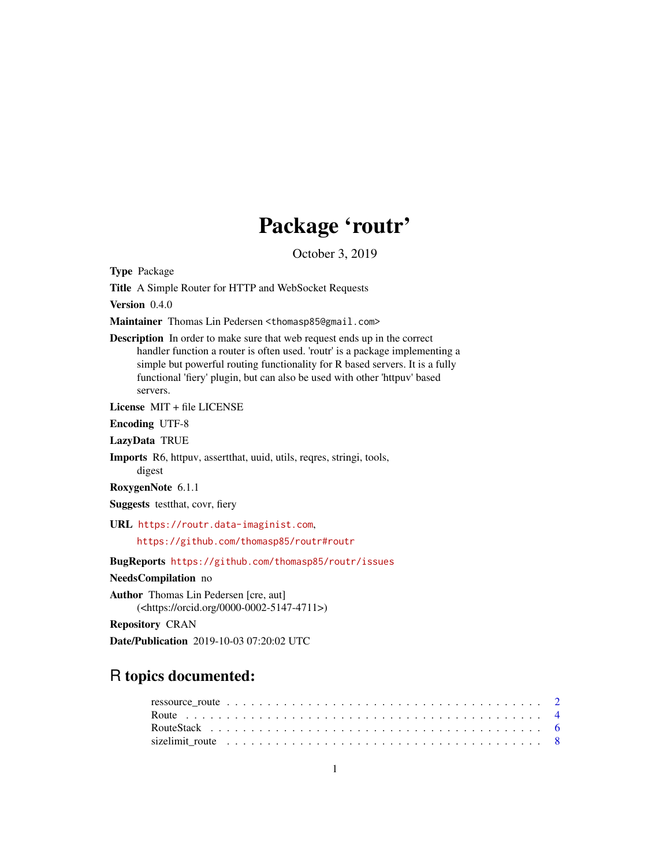# Package 'routr'

October 3, 2019

<span id="page-0-0"></span>Type Package

Title A Simple Router for HTTP and WebSocket Requests

Version 0.4.0

Maintainer Thomas Lin Pedersen <thomasp85@gmail.com>

Description In order to make sure that web request ends up in the correct handler function a router is often used. 'routr' is a package implementing a simple but powerful routing functionality for R based servers. It is a fully functional 'fiery' plugin, but can also be used with other 'httpuv' based servers.

License MIT + file LICENSE

Encoding UTF-8

LazyData TRUE

Imports R6, httpuv, assertthat, uuid, utils, reqres, stringi, tools, digest

RoxygenNote 6.1.1

Suggests testthat, covr, fiery

URL <https://routr.data-imaginist.com>,

<https://github.com/thomasp85/routr#routr>

BugReports <https://github.com/thomasp85/routr/issues>

NeedsCompilation no

Author Thomas Lin Pedersen [cre, aut] (<https://orcid.org/0000-0002-5147-4711>)

Repository CRAN

Date/Publication 2019-10-03 07:20:02 UTC

## R topics documented:

| sizelimit route $\ldots \ldots \ldots \ldots \ldots \ldots \ldots \ldots \ldots \ldots \ldots \ldots \ldots$ |  |  |  |  |  |  |  |  |  |  |  |  |  |  |  |  |  |  |  |  |  |
|--------------------------------------------------------------------------------------------------------------|--|--|--|--|--|--|--|--|--|--|--|--|--|--|--|--|--|--|--|--|--|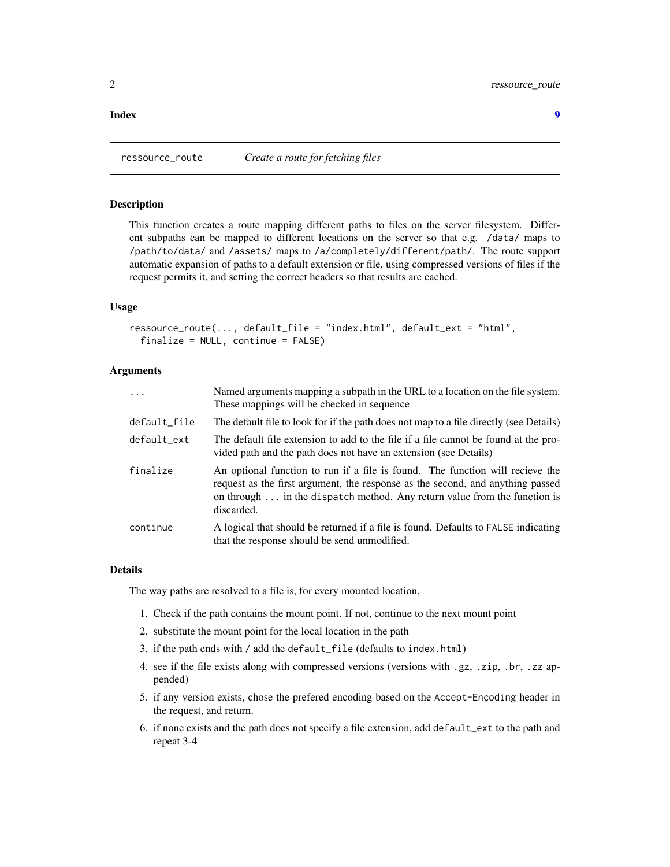#### <span id="page-1-0"></span>**Index** [9](#page-8-0)

<span id="page-1-1"></span>ressource\_route *Create a route for fetching files*

#### **Description**

This function creates a route mapping different paths to files on the server filesystem. Different subpaths can be mapped to different locations on the server so that e.g. /data/ maps to /path/to/data/ and /assets/ maps to /a/completely/different/path/. The route support automatic expansion of paths to a default extension or file, using compressed versions of files if the request permits it, and setting the correct headers so that results are cached.

## Usage

```
ressource_route(..., default_file = "index.html", default_ext = "html",
 finalize = NULL, continue = FALSE)
```
#### Arguments

| $\ddots$     | Named arguments mapping a subpath in the URL to a location on the file system.<br>These mappings will be checked in sequence                                                                                                                                      |
|--------------|-------------------------------------------------------------------------------------------------------------------------------------------------------------------------------------------------------------------------------------------------------------------|
| default_file | The default file to look for if the path does not map to a file directly (see Details)                                                                                                                                                                            |
| default_ext  | The default file extension to add to the file if a file cannot be found at the pro-<br>vided path and the path does not have an extension (see Details)                                                                                                           |
| finalize     | An optional function to run if a file is found. The function will recieve the<br>request as the first argument, the response as the second, and anything passed<br>on through $\dots$ in the dispatch method. Any return value from the function is<br>discarded. |
| continue     | A logical that should be returned if a file is found. Defaults to FALSE indicating<br>that the response should be send unmodified.                                                                                                                                |

#### Details

The way paths are resolved to a file is, for every mounted location,

- 1. Check if the path contains the mount point. If not, continue to the next mount point
- 2. substitute the mount point for the local location in the path
- 3. if the path ends with / add the default\_file (defaults to index.html)
- 4. see if the file exists along with compressed versions (versions with .gz, .zip, .br, .zz appended)
- 5. if any version exists, chose the prefered encoding based on the Accept-Encoding header in the request, and return.
- 6. if none exists and the path does not specify a file extension, add default\_ext to the path and repeat 3-4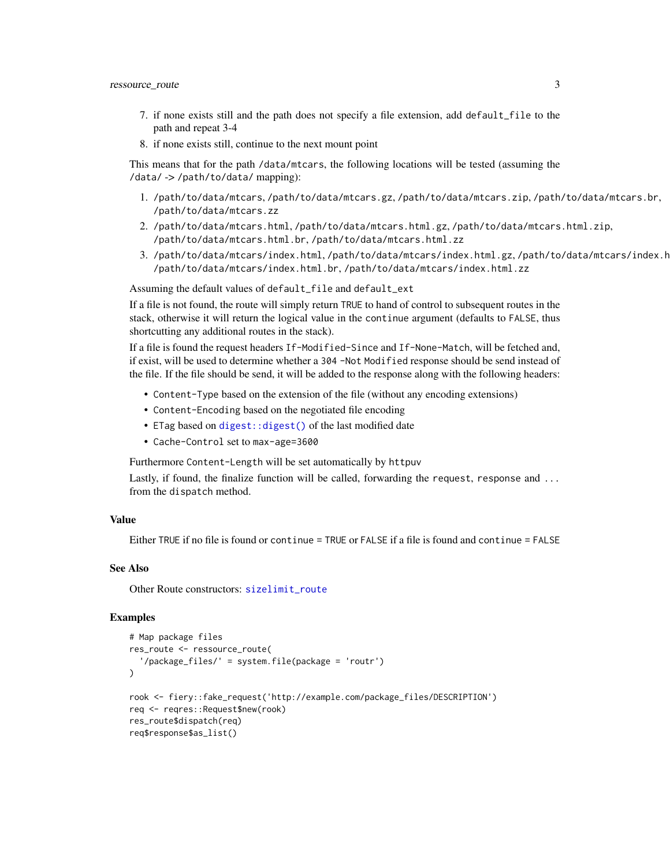- <span id="page-2-0"></span>7. if none exists still and the path does not specify a file extension, add default\_file to the path and repeat 3-4
- 8. if none exists still, continue to the next mount point

This means that for the path /data/mtcars, the following locations will be tested (assuming the /data/ -> /path/to/data/ mapping):

- 1. /path/to/data/mtcars, /path/to/data/mtcars.gz, /path/to/data/mtcars.zip, /path/to/data/mtcars.br, /path/to/data/mtcars.zz
- 2. /path/to/data/mtcars.html, /path/to/data/mtcars.html.gz, /path/to/data/mtcars.html.zip, /path/to/data/mtcars.html.br, /path/to/data/mtcars.html.zz
- 3. /path/to/data/mtcars/index.html,/path/to/data/mtcars/index.html.gz,/path/to/data/mtcars/index.h /path/to/data/mtcars/index.html.br, /path/to/data/mtcars/index.html.zz

Assuming the default values of default\_file and default\_ext

If a file is not found, the route will simply return TRUE to hand of control to subsequent routes in the stack, otherwise it will return the logical value in the continue argument (defaults to FALSE, thus shortcutting any additional routes in the stack).

If a file is found the request headers If-Modified-Since and If-None-Match, will be fetched and, if exist, will be used to determine whether a 304 -Not Modified response should be send instead of the file. If the file should be send, it will be added to the response along with the following headers:

- Content-Type based on the extension of the file (without any encoding extensions)
- Content-Encoding based on the negotiated file encoding
- ETag based on [digest::digest\(\)](#page-0-0) of the last modified date
- Cache-Control set to max-age=3600

Furthermore Content-Length will be set automatically by httpuv

Lastly, if found, the finalize function will be called, forwarding the request, response and ... from the dispatch method.

#### Value

Either TRUE if no file is found or continue = TRUE or FALSE if a file is found and continue = FALSE

#### See Also

Other Route constructors: [sizelimit\\_route](#page-7-1)

```
# Map package files
res_route <- ressource_route(
  '/package_files/' = system.file(package = 'routr')
)
rook <- fiery::fake_request('http://example.com/package_files/DESCRIPTION')
req <- reqres::Request$new(rook)
res_route$dispatch(req)
req$response$as_list()
```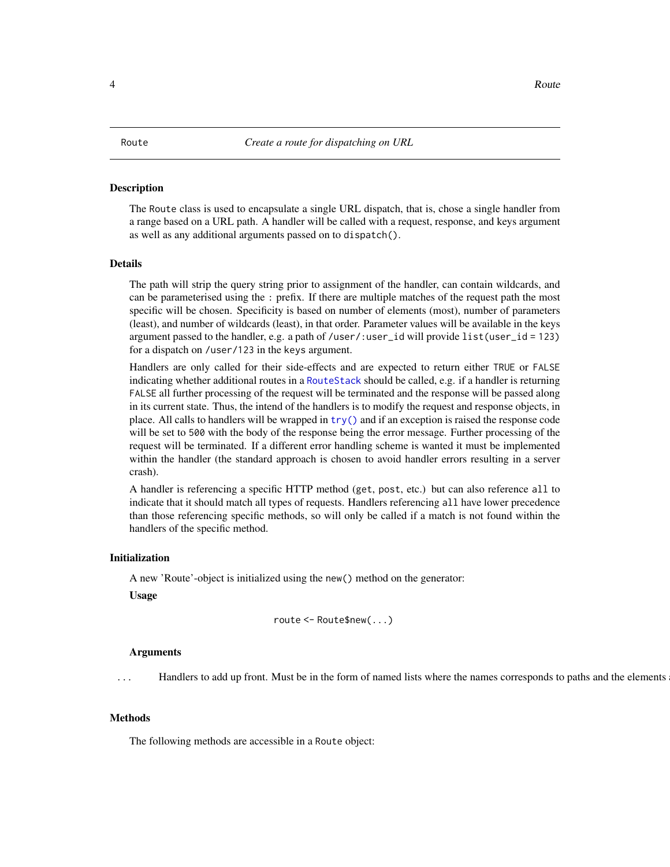#### <span id="page-3-1"></span><span id="page-3-0"></span>Description

The Route class is used to encapsulate a single URL dispatch, that is, chose a single handler from a range based on a URL path. A handler will be called with a request, response, and keys argument as well as any additional arguments passed on to dispatch().

#### Details

The path will strip the query string prior to assignment of the handler, can contain wildcards, and can be parameterised using the : prefix. If there are multiple matches of the request path the most specific will be chosen. Specificity is based on number of elements (most), number of parameters (least), and number of wildcards (least), in that order. Parameter values will be available in the keys argument passed to the handler, e.g. a path of /user/:user\_id will provide list(user\_id = 123) for a dispatch on /user/123 in the keys argument.

Handlers are only called for their side-effects and are expected to return either TRUE or FALSE indicating whether additional routes in a [RouteStack](#page-5-1) should be called, e.g. if a handler is returning FALSE all further processing of the request will be terminated and the response will be passed along in its current state. Thus, the intend of the handlers is to modify the request and response objects, in place. All calls to handlers will be wrapped in [try\(\)](#page-0-0) and if an exception is raised the response code will be set to 500 with the body of the response being the error message. Further processing of the request will be terminated. If a different error handling scheme is wanted it must be implemented within the handler (the standard approach is chosen to avoid handler errors resulting in a server crash).

A handler is referencing a specific HTTP method (get, post, etc.) but can also reference all to indicate that it should match all types of requests. Handlers referencing all have lower precedence than those referencing specific methods, so will only be called if a match is not found within the handlers of the specific method.

#### Initialization

A new 'Route'-object is initialized using the new() method on the generator:

Usage

```
route <- Route$new(...)
```
#### Arguments

... Handlers to add up front. Must be in the form of named lists where the names corresponds to paths and the elements

#### Methods

The following methods are accessible in a Route object: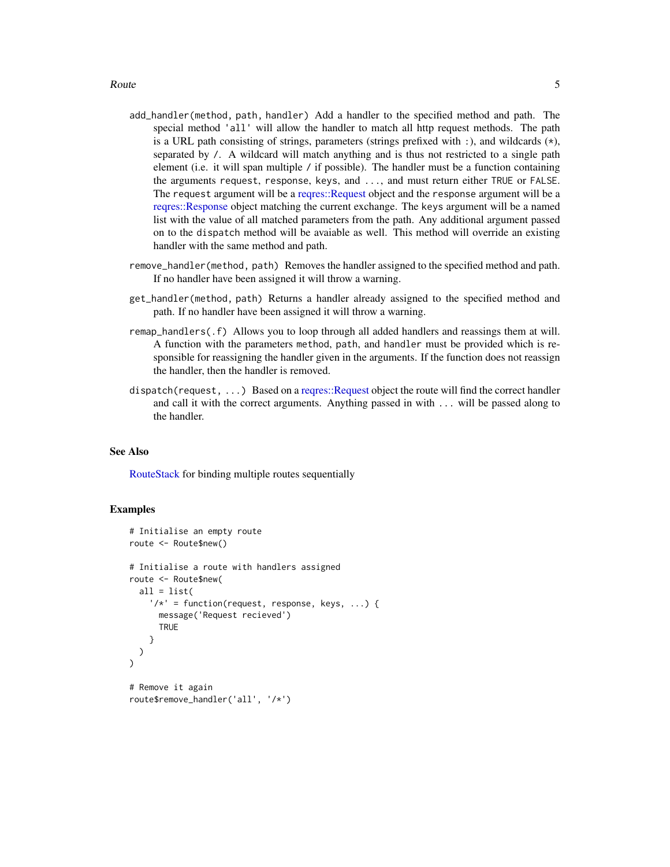- <span id="page-4-0"></span>add\_handler(method, path, handler) Add a handler to the specified method and path. The special method 'all' will allow the handler to match all http request methods. The path is a URL path consisting of strings, parameters (strings prefixed with :), and wildcards  $(\star)$ , separated by /. A wildcard will match anything and is thus not restricted to a single path element (i.e. it will span multiple / if possible). The handler must be a function containing the arguments request, response, keys, and ..., and must return either TRUE or FALSE. The request argument will be a [reqres::Request](#page-0-0) object and the response argument will be a [reqres::Response](#page-0-0) object matching the current exchange. The keys argument will be a named list with the value of all matched parameters from the path. Any additional argument passed on to the dispatch method will be avaiable as well. This method will override an existing handler with the same method and path.
- remove\_handler(method, path) Removes the handler assigned to the specified method and path. If no handler have been assigned it will throw a warning.
- get\_handler(method, path) Returns a handler already assigned to the specified method and path. If no handler have been assigned it will throw a warning.
- remap\_handlers(.f) Allows you to loop through all added handlers and reassings them at will. A function with the parameters method, path, and handler must be provided which is responsible for reassigning the handler given in the arguments. If the function does not reassign the handler, then the handler is removed.
- dispatch(request, ...) Based on a [reqres::Request](#page-0-0) object the route will find the correct handler and call it with the correct arguments. Anything passed in with ... will be passed along to the handler.

#### See Also

[RouteStack](#page-5-1) for binding multiple routes sequentially

```
# Initialise an empty route
route <- Route$new()
# Initialise a route with handlers assigned
route <- Route$new(
 all = list('/*' = function(request, response, keys, ...) {
      message('Request recieved')
      TRUE
    }
 )
\mathcal{L}# Remove it again
route$remove_handler('all', '/*')
```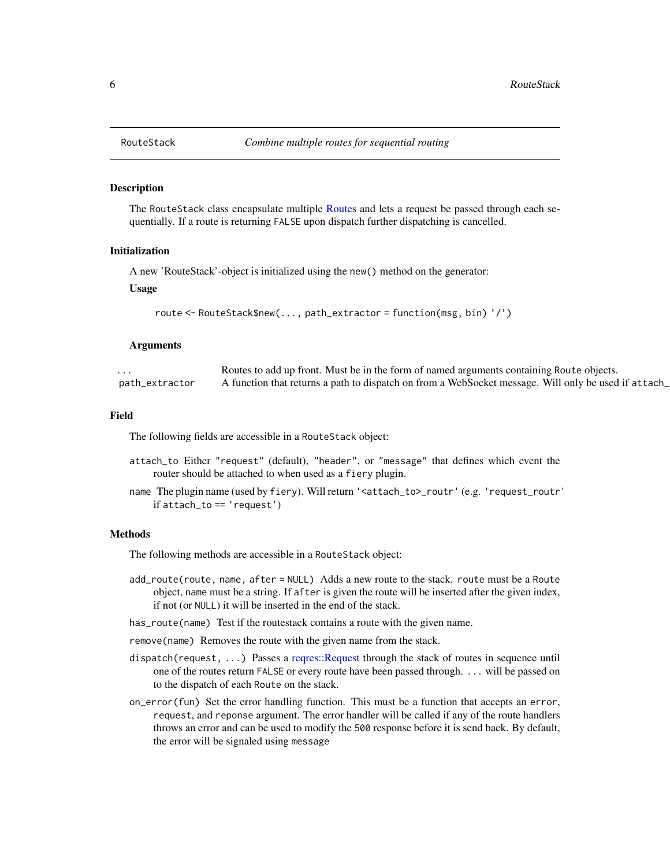#### Description

The RouteStack class encapsulate multiple [Routes](#page-3-1) and lets a request be passed through each sequentially. If a route is returning FALSE upon dispatch further dispatching is cancelled.

#### Initialization

A new 'RouteStack'-object is initialized using the new() method on the generator:

Usage

```
route <- RouteStack$new(..., path_extractor = function(msg, bin) '/')
```
#### Arguments

| .              | Routes to add up front. Must be in the form of named arguments containing Route objects.             |
|----------------|------------------------------------------------------------------------------------------------------|
| path_extractor | . Tunction that returns a path to dispatch on from a WebSocket message. Will only be used if at tach |

#### Field

The following fields are accessible in a RouteStack object:

- attach\_to Either "request" (default), "header", or "message" that defines which event the router should be attached to when used as a fiery plugin.
- name The plugin name (used by fiery). Will return '<attach\_to>\_routr' (e.g. 'request\_routr' if attach\_to == 'request')

#### Methods

The following methods are accessible in a RouteStack object:

- add\_route(route, name, after = NULL) Adds a new route to the stack. route must be a Route object, name must be a string. If after is given the route will be inserted after the given index, if not (or NULL) it will be inserted in the end of the stack.
- has\_route(name) Test if the routestack contains a route with the given name.

remove(name) Removes the route with the given name from the stack.

- dispatch(request, ...) Passes a [reqres::Request](#page-0-0) through the stack of routes in sequence until one of the routes return FALSE or every route have been passed through. ... will be passed on to the dispatch of each Route on the stack.
- on\_error(fun) Set the error handling function. This must be a function that accepts an error, request, and reponse argument. The error handler will be called if any of the route handlers throws an error and can be used to modify the 500 response before it is send back. By default, the error will be signaled using message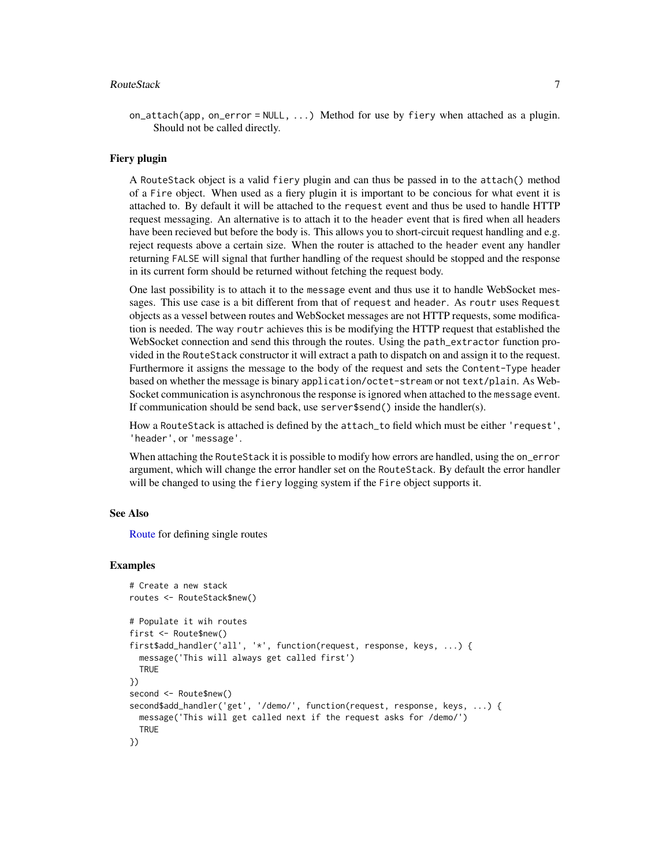#### <span id="page-6-0"></span>RouteStack 7

on\_attach(app, on\_error = NULL,  $\ldots$ ) Method for use by fiery when attached as a plugin. Should not be called directly.

#### Fiery plugin

A RouteStack object is a valid fiery plugin and can thus be passed in to the attach() method of a Fire object. When used as a fiery plugin it is important to be concious for what event it is attached to. By default it will be attached to the request event and thus be used to handle HTTP request messaging. An alternative is to attach it to the header event that is fired when all headers have been recieved but before the body is. This allows you to short-circuit request handling and e.g. reject requests above a certain size. When the router is attached to the header event any handler returning FALSE will signal that further handling of the request should be stopped and the response in its current form should be returned without fetching the request body.

One last possibility is to attach it to the message event and thus use it to handle WebSocket messages. This use case is a bit different from that of request and header. As routr uses Request objects as a vessel between routes and WebSocket messages are not HTTP requests, some modification is needed. The way routr achieves this is be modifying the HTTP request that established the WebSocket connection and send this through the routes. Using the path\_extractor function provided in the RouteStack constructor it will extract a path to dispatch on and assign it to the request. Furthermore it assigns the message to the body of the request and sets the Content-Type header based on whether the message is binary application/octet-stream or not text/plain. As Web-Socket communication is asynchronous the response is ignored when attached to the message event. If communication should be send back, use server\$send() inside the handler(s).

How a RouteStack is attached is defined by the attach\_to field which must be either 'request', 'header', or 'message'.

When attaching the RouteStack it is possible to modify how errors are handled, using the on\_error argument, which will change the error handler set on the RouteStack. By default the error handler will be changed to using the fiery logging system if the Fire object supports it.

#### See Also

[Route](#page-3-1) for defining single routes

```
# Create a new stack
routes <- RouteStack$new()
# Populate it wih routes
first <- Route$new()
first$add_handler('all', '*', function(request, response, keys, ...) {
 message('This will always get called first')
 TRUE
})
second <- Route$new()
second$add_handler('get', '/demo/', function(request, response, keys, ...) {
 message('This will get called next if the request asks for /demo/')
 TRUE
})
```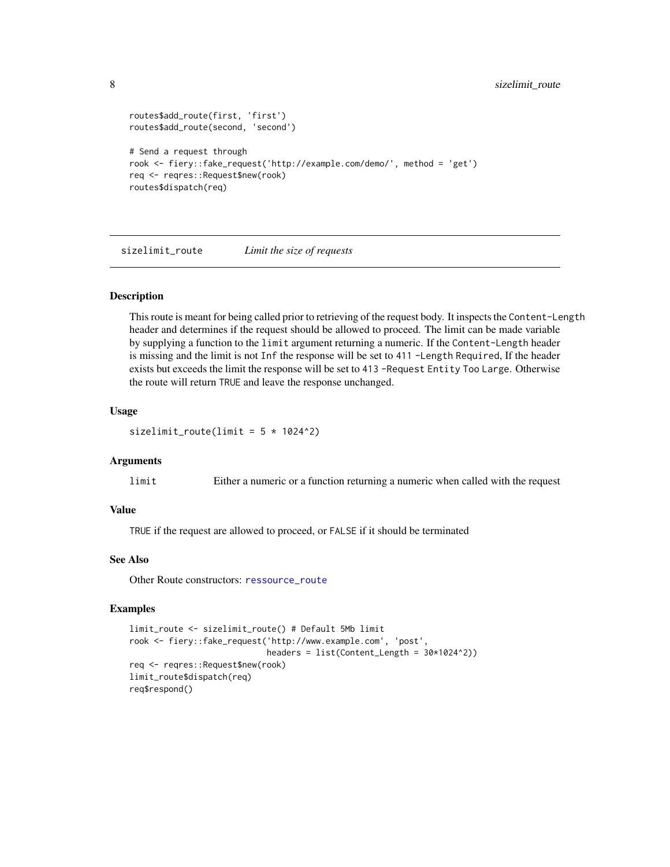```
routes$add_route(first, 'first')
routes$add_route(second, 'second')
# Send a request through
rook <- fiery::fake_request('http://example.com/demo/', method = 'get')
req <- reqres::Request$new(rook)
routes$dispatch(req)
```
<span id="page-7-1"></span>sizelimit\_route *Limit the size of requests*

#### **Description**

This route is meant for being called prior to retrieving of the request body. It inspects the Content-Length header and determines if the request should be allowed to proceed. The limit can be made variable by supplying a function to the limit argument returning a numeric. If the Content-Length header is missing and the limit is not Inf the response will be set to 411 -Length Required, If the header exists but exceeds the limit the response will be set to 413 -Request Entity Too Large. Otherwise the route will return TRUE and leave the response unchanged.

#### Usage

sizelimit\_route(limit =  $5 * 1024^2$ )

#### **Arguments**

limit Either a numeric or a function returning a numeric when called with the request

#### Value

TRUE if the request are allowed to proceed, or FALSE if it should be terminated

## See Also

Other Route constructors: [ressource\\_route](#page-1-1)

```
limit_route <- sizelimit_route() # Default 5Mb limit
rook <- fiery::fake_request('http://www.example.com', 'post',
                            headers = list(Content_length = 30*1024^2))req <- reqres::Request$new(rook)
limit_route$dispatch(req)
req$respond()
```
<span id="page-7-0"></span>